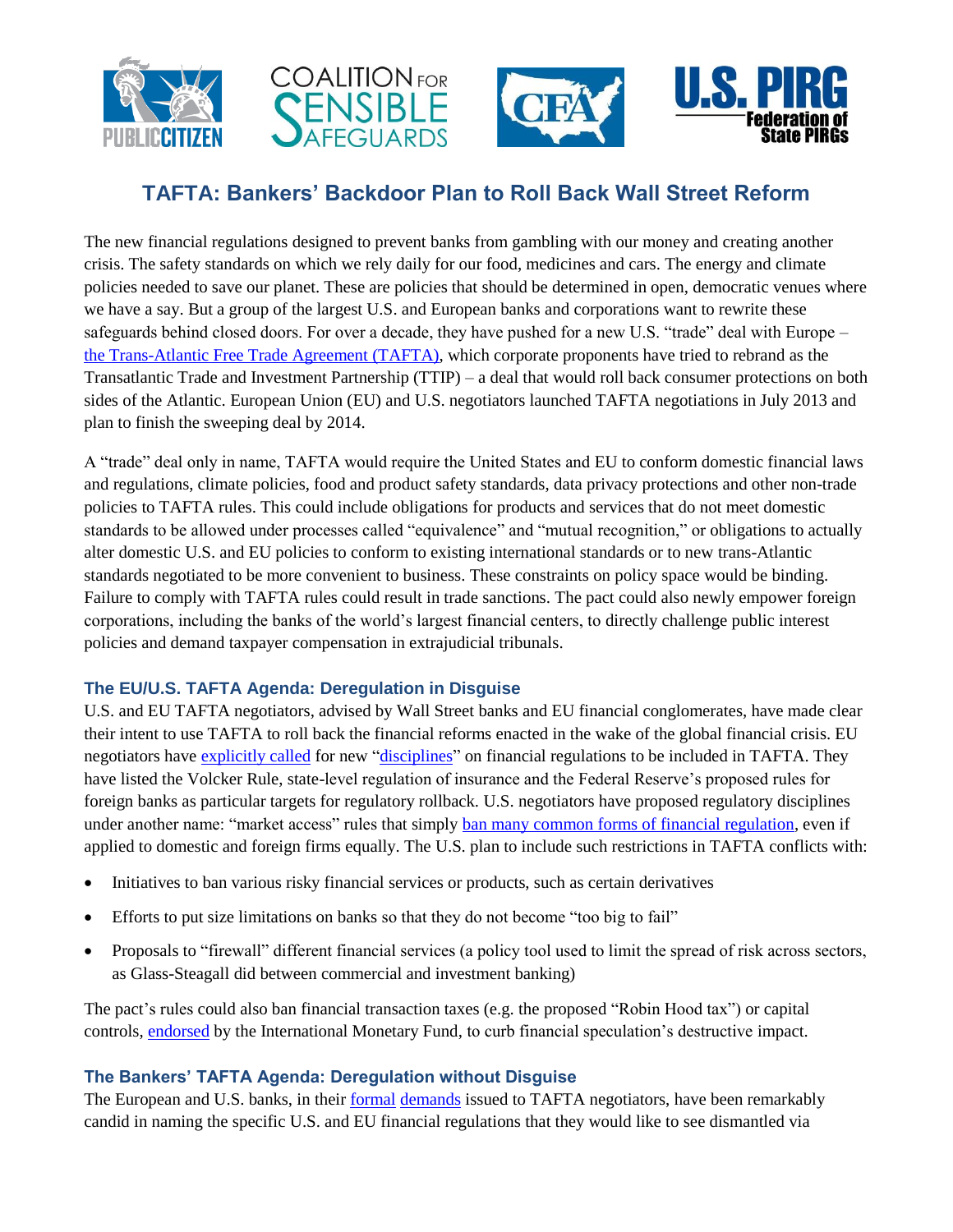







# **TAFTA: Bankers' Backdoor Plan to Roll Back Wall Street Reform**

The new financial regulations designed to prevent banks from gambling with our money and creating another crisis. The safety standards on which we rely daily for our food, medicines and cars. The energy and climate policies needed to save our planet. These are policies that should be determined in open, democratic venues where we have a say. But a group of the largest U.S. and European banks and corporations want to rewrite these safeguards behind closed doors. For over a decade, they have pushed for a new U.S. "trade" deal with Europe – [the Trans-Atlantic Free Trade Agreement \(TAFTA\),](http://www.citizen.org/tafta) which corporate proponents have tried to rebrand as the Transatlantic Trade and Investment Partnership (TTIP) – a deal that would roll back consumer protections on both sides of the Atlantic. European Union (EU) and U.S. negotiators launched TAFTA negotiations in July 2013 and plan to finish the sweeping deal by 2014.

A "trade" deal only in name, TAFTA would require the United States and EU to conform domestic financial laws and regulations, climate policies, food and product safety standards, data privacy protections and other non-trade policies to TAFTA rules. This could include obligations for products and services that do not meet domestic standards to be allowed under processes called "equivalence" and "mutual recognition," or obligations to actually alter domestic U.S. and EU policies to conform to existing international standards or to new trans-Atlantic standards negotiated to be more convenient to business. These constraints on policy space would be binding. Failure to comply with TAFTA rules could result in trade sanctions. The pact could also newly empower foreign corporations, including the banks of the world's largest financial centers, to directly challenge public interest policies and demand taxpayer compensation in extrajudicial tribunals.

## **The EU/U.S. TAFTA Agenda: Deregulation in Disguise**

U.S. and EU TAFTA negotiators, advised by Wall Street banks and EU financial conglomerates, have made clear their intent to use TAFTA to roll back the financial reforms enacted in the wake of the global financial crisis. EU negotiators have [explicitly called](http://online.wsj.com/article/SB10001424127887323394504578607841246434144.html) for new ["disciplines"](http://www.iatp.org/files/TPC-TTIP-non-Papers-for-1st-Round-Negotiatons-June20-2013.pdf) on financial regulations to be included in TAFTA. They have listed the Volcker Rule, state-level regulation of insurance and the Federal Reserve's proposed rules for foreign banks as particular targets for regulatory rollback. U.S. negotiators have proposed regulatory disciplines under another name: "market access" rules that simply [ban many common forms of financial regulation,](http://www.citizen.org/documents/FinanceReregulationFactSheetFINAL.pdf) even if applied to domestic and foreign firms equally. The U.S. plan to include such restrictions in TAFTA conflicts with:

- Initiatives to ban various risky financial services or products, such as certain derivatives
- Efforts to put size limitations on banks so that they do not become "too big to fail"
- Proposals to "firewall" different financial services (a policy tool used to limit the spread of risk across sectors, as Glass-Steagall did between commercial and investment banking)

The pact's rules could also ban financial transaction taxes (e.g. the proposed "Robin Hood tax") or capital controls, [endorsed](http://www.imf.org/external/np/pp/eng/2012/111412.pdf) by the International Monetary Fund, to curb financial speculation's destructive impact.

# **The Bankers' TAFTA Agenda: Deregulation without Disguise**

The European and U.S. banks, in their [formal](http://www.regulations.gov/#!docketBrowser;rpp=50;po=0;D=USTR-2013-0019) [demands](http://ec.europa.eu/enterprise/policies/international/cooperating-governments/usa/jobs-growth/consultation-on-regulatory-issues_en.htm) issued to TAFTA negotiators, have been remarkably candid in naming the specific U.S. and EU financial regulations that they would like to see dismantled via